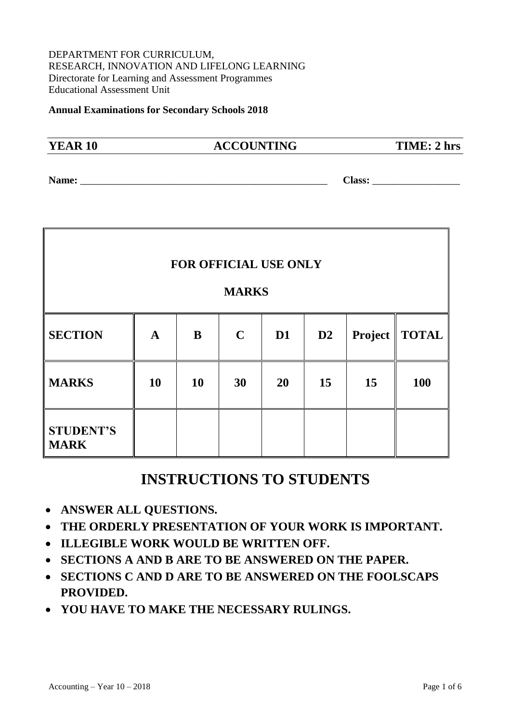#### DEPARTMENT FOR CURRICULUM, RESEARCH, INNOVATION AND LIFELONG LEARNING Directorate for Learning and Assessment Programmes Educational Assessment Unit

**Annual Examinations for Secondary Schools 2018** 

## **YEAR 10 ACCOUNTING TIME: 2 hrs**

**Name:** \_\_\_\_\_\_\_\_\_\_\_\_\_\_\_\_\_\_\_\_\_\_\_\_\_\_\_\_\_\_\_\_\_\_\_\_\_\_\_\_\_\_\_\_\_\_\_\_ **Class:** \_\_\_\_\_\_\_\_\_\_\_\_\_\_\_\_\_

|                                 |             | FOR OFFICIAL USE ONLY | <b>MARKS</b> |                |               |         |              |
|---------------------------------|-------------|-----------------------|--------------|----------------|---------------|---------|--------------|
| <b>SECTION</b>                  | $\mathbf A$ | B                     | $\mathbf C$  | D <sub>1</sub> | $\mathbf{D2}$ | Project | <b>TOTAL</b> |
| <b>MARKS</b>                    | 10          | 10                    | 30           | 20             | 15            | 15      | 100          |
| <b>STUDENT'S</b><br><b>MARK</b> |             |                       |              |                |               |         |              |

# **INSTRUCTIONS TO STUDENTS**

- **ANSWER ALL QUESTIONS.**
- **THE ORDERLY PRESENTATION OF YOUR WORK IS IMPORTANT.**
- **ILLEGIBLE WORK WOULD BE WRITTEN OFF.**
- **SECTIONS A AND B ARE TO BE ANSWERED ON THE PAPER.**
- **SECTIONS C AND D ARE TO BE ANSWERED ON THE FOOLSCAPS PROVIDED.**
- **YOU HAVE TO MAKE THE NECESSARY RULINGS.**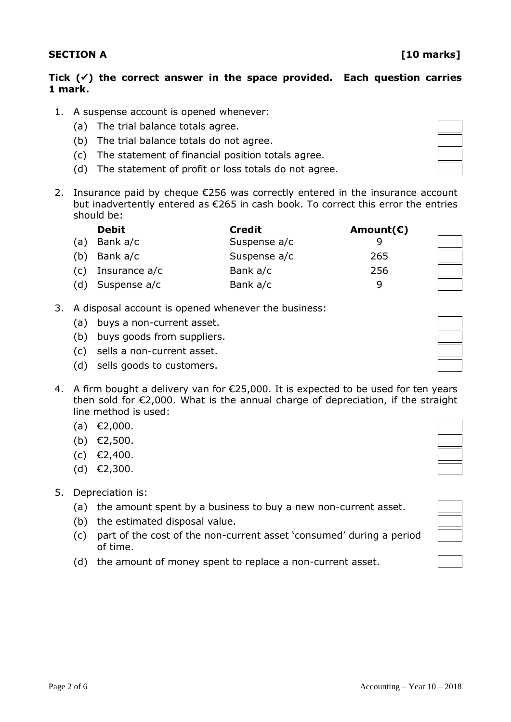### **Tick () the correct answer in the space provided. Each question carries 1 mark.**

- 1. A suspense account is opened whenever:
	- (a) The trial balance totals agree.
	- (b) The trial balance totals do not agree.
	- (c) The statement of financial position totals agree.
	- (d) The statement of profit or loss totals do not agree.
- 2. Insurance paid by cheque  $\epsilon$ 256 was correctly entered in the insurance account but inadvertently entered as €265 in cash book. To correct this error the entries should be:

|     | <b>Debit</b>        | <b>Credit</b> | Amount( $\epsilon$ ) |
|-----|---------------------|---------------|----------------------|
| (a) | Bank a/c            | Suspense a/c  |                      |
|     | (b) Bank $a/c$      | Suspense a/c  | 265                  |
|     | $(c)$ Insurance a/c | Bank a/c      | 256                  |
|     | (d) Suspense a/c    | Bank a/c      | a                    |

- 3. A disposal account is opened whenever the business:
	- (a) buys a non-current asset.
	- (b) buys goods from suppliers.
	- (c) sells a non-current asset.
	- (d) sells goods to customers.
- 4. A firm bought a delivery van for €25,000. It is expected to be used for ten years then sold for €2,000. What is the annual charge of depreciation, if the straight line method is used:
	- $(a) €2,000.$
	- (b) €2,500.
	- (c) €2,400.
	- (d) €2,300.
- 5. Depreciation is:
	- (a) the amount spent by a business to buy a new non-current asset.
	- (b) the estimated disposal value.
	- (c) part of the cost of the non-current asset 'consumed' during a period of time.
	- (d) the amount of money spent to replace a non-current asset.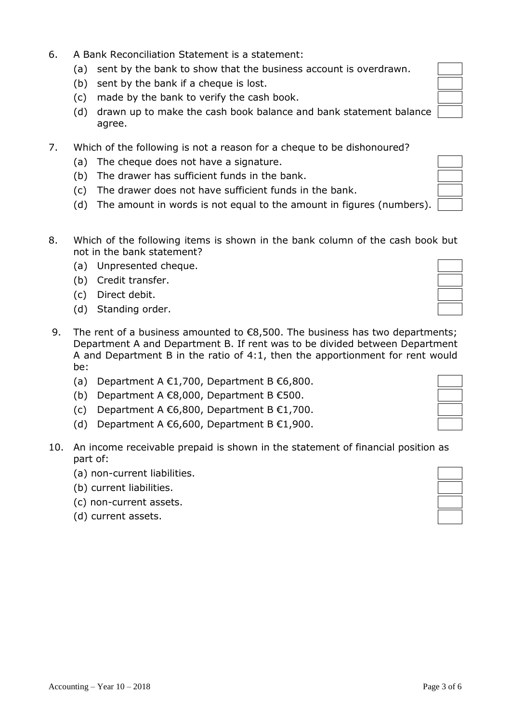- 6. A Bank Reconciliation Statement is a statement:
	- (a) sent by the bank to show that the business account is overdrawn.
	- (b) sent by the bank if a cheque is lost.
	- (c) made by the bank to verify the cash book.
	- (d) drawn up to make the cash book balance and bank statement balance agree.
- 7. Which of the following is not a reason for a cheque to be dishonoured?
	- (a) The cheque does not have a signature.
	- (b) The drawer has sufficient funds in the bank.
	- (c) The drawer does not have sufficient funds in the bank.
	- (d) The amount in words is not equal to the amount in figures (numbers).
- 8. Which of the following items is shown in the bank column of the cash book but not in the bank statement?
	- (a) Unpresented cheque.
	- (b) Credit transfer.
	- (c) Direct debit.
	- (d) Standing order.
- 9. The rent of a business amounted to  $\epsilon$ 8,500. The business has two departments; Department A and Department B. If rent was to be divided between Department A and Department B in the ratio of 4:1, then the apportionment for rent would be:
	- (a) Department A  $£1,700$ , Department B  $€6,800$ .
	- (b) Department A  $\epsilon$ 8,000, Department B  $\epsilon$ 500.
	- (c) Department A €6,800, Department B  $€1,700$ .
	- (d) Department A  $€6,600$ , Department B  $€1,900$ .
- 10. An income receivable prepaid is shown in the statement of financial position as part of:
	- (a) non-current liabilities.
	- (b) current liabilities.
	- (c) non-current assets.
	- (d) current assets.

|  | t |  |
|--|---|--|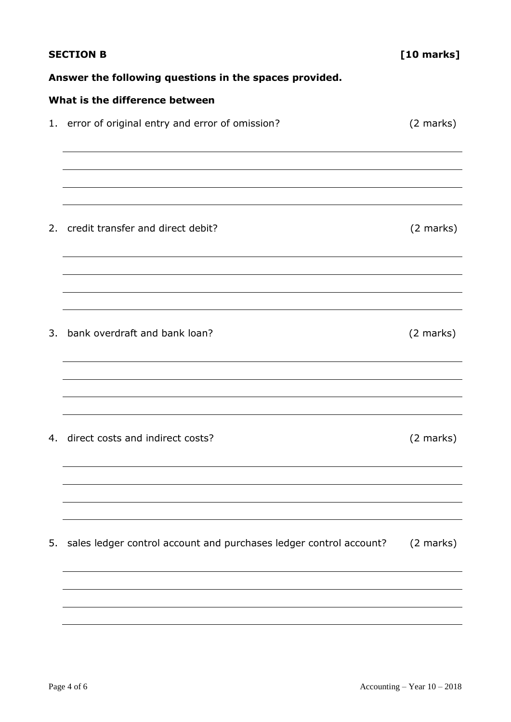|    | <b>SECTION B</b>                                                             | [10 marks] |
|----|------------------------------------------------------------------------------|------------|
|    | Answer the following questions in the spaces provided.                       |            |
|    | What is the difference between                                               |            |
|    | 1. error of original entry and error of omission?                            | (2 marks)  |
|    |                                                                              |            |
|    |                                                                              |            |
| 2. | credit transfer and direct debit?                                            | (2 marks)  |
|    |                                                                              |            |
|    |                                                                              |            |
| 3. | bank overdraft and bank loan?                                                | (2 marks)  |
|    |                                                                              |            |
|    |                                                                              |            |
|    | 4. direct costs and indirect costs?                                          | (2 marks)  |
|    |                                                                              |            |
|    |                                                                              |            |
| 5. | sales ledger control account and purchases ledger control account? (2 marks) |            |
|    |                                                                              |            |
|    |                                                                              |            |
|    |                                                                              |            |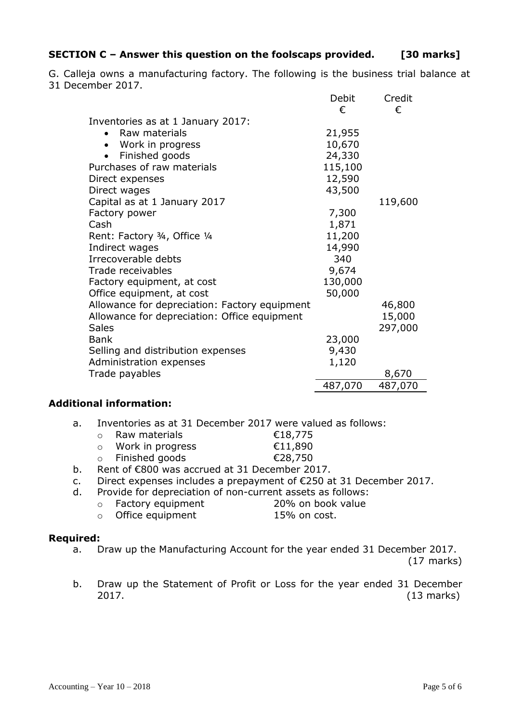### **SECTION C – Answer this question on the foolscaps provided. [30 marks]**

G. Calleja owns a manufacturing factory. The following is the business trial balance at 31 December 2017.

|                                               | Debit   | Credit  |
|-----------------------------------------------|---------|---------|
|                                               | €       | €       |
| Inventories as at 1 January 2017:             |         |         |
| Raw materials                                 | 21,955  |         |
| Work in progress                              | 10,670  |         |
| Finished goods                                | 24,330  |         |
| Purchases of raw materials                    | 115,100 |         |
| Direct expenses                               | 12,590  |         |
| Direct wages                                  | 43,500  |         |
| Capital as at 1 January 2017                  |         | 119,600 |
| Factory power                                 | 7,300   |         |
| Cash                                          | 1,871   |         |
| Rent: Factory 3/4, Office 1/4                 | 11,200  |         |
| Indirect wages                                | 14,990  |         |
| Irrecoverable debts                           | 340     |         |
| Trade receivables                             | 9,674   |         |
| Factory equipment, at cost                    | 130,000 |         |
| Office equipment, at cost                     | 50,000  |         |
| Allowance for depreciation: Factory equipment |         | 46,800  |
| Allowance for depreciation: Office equipment  |         | 15,000  |
| <b>Sales</b>                                  |         | 297,000 |
| <b>Bank</b>                                   | 23,000  |         |
| Selling and distribution expenses             | 9,430   |         |
| Administration expenses                       | 1,120   |         |
| Trade payables                                |         | 8,670   |
|                                               | 487,070 | 487,070 |

#### **Additional information:**

- a. Inventories as at 31 December 2017 were valued as follows:
	- o Raw materials  $\epsilon$ 18,775 o Work in progress  $\epsilon$ 11,890
	- $\circ$  Finished goods €28,750
- b. Rent of €800 was accrued at 31 December 2017.
- c. Direct expenses includes a prepayment of €250 at 31 December 2017.
- d. Provide for depreciation of non-current assets as follows:
	- o Factory equipment 20% on book value
		- o Office equipment 15% on cost.

#### **Required:**

a. Draw up the Manufacturing Account for the year ended 31 December 2017.

(17 marks)

b. Draw up the Statement of Profit or Loss for the year ended 31 December 2017. (13 marks)